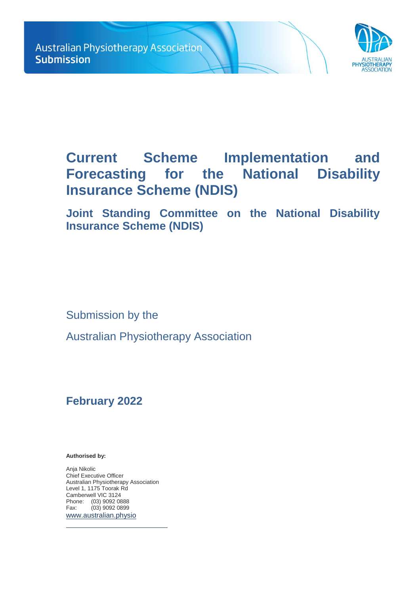

# **Current Scheme Implementation and Forecasting for the National Disability Insurance Scheme (NDIS)**

**Joint Standing Committee on the National Disability Insurance Scheme (NDIS)**

Submission by the

Australian Physiotherapy Association

# **February 2022**

**Authorised by:** 

Anja Nikolic Chief Executive Officer Australian Physiotherapy Association Level 1, 1175 Toorak Rd Camberwell VIC 3124 Phone: (03) 9092 0888<br>Fax: (03) 9092 0899  $(03)$  9092 0899 [www.australian.physio](http://www.australian.physio/)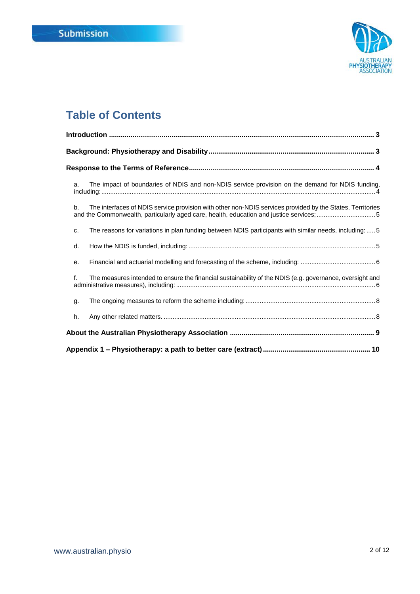

# **Table of Contents**

| The impact of boundaries of NDIS and non-NDIS service provision on the demand for NDIS funding,<br>a.                                                                                                      |
|------------------------------------------------------------------------------------------------------------------------------------------------------------------------------------------------------------|
| The interfaces of NDIS service provision with other non-NDIS services provided by the States, Territories<br>b.<br>and the Commonwealth, particularly aged care, health, education and justice services; 5 |
| The reasons for variations in plan funding between NDIS participants with similar needs, including:  5<br>c.                                                                                               |
| d.                                                                                                                                                                                                         |
| е.                                                                                                                                                                                                         |
| f.<br>The measures intended to ensure the financial sustainability of the NDIS (e.g. governance, oversight and                                                                                             |
| g.                                                                                                                                                                                                         |
| h.                                                                                                                                                                                                         |
|                                                                                                                                                                                                            |
|                                                                                                                                                                                                            |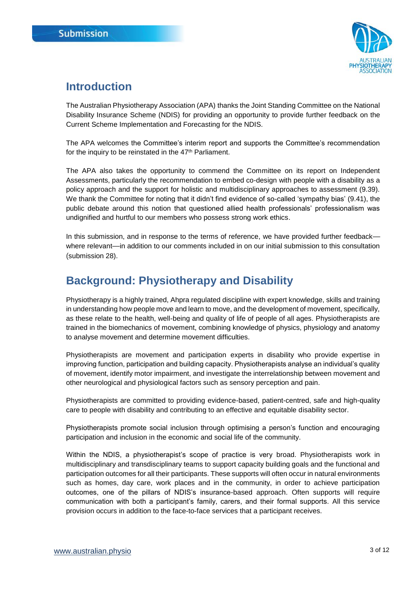

# <span id="page-2-0"></span>**Introduction**

The Australian Physiotherapy Association (APA) thanks the Joint Standing Committee on the National Disability Insurance Scheme (NDIS) for providing an opportunity to provide further feedback on the Current Scheme Implementation and Forecasting for the NDIS.

The APA welcomes the Committee's interim report and supports the Committee's recommendation for the inquiry to be reinstated in the 47<sup>th</sup> Parliament.

The APA also takes the opportunity to commend the Committee on its report on Independent Assessments, particularly the recommendation to embed co-design with people with a disability as a policy approach and the support for holistic and multidisciplinary approaches to assessment (9.39). We thank the Committee for noting that it didn't find evidence of so-called 'sympathy bias' (9.41), the public debate around this notion that questioned allied health professionals' professionalism was undignified and hurtful to our members who possess strong work ethics.

In this submission, and in response to the terms of reference, we have provided further feedback where relevant—in addition to our comments included in on our initial submission to this consultation (submission 28).

# <span id="page-2-1"></span>**Background: Physiotherapy and Disability**

Physiotherapy is a highly trained, Ahpra regulated discipline with expert knowledge, skills and training in understanding how people move and learn to move, and the development of movement, specifically, as these relate to the health, well-being and quality of life of people of all ages. Physiotherapists are trained in the biomechanics of movement, combining knowledge of physics, physiology and anatomy to analyse movement and determine movement difficulties.

Physiotherapists are movement and participation experts in disability who provide expertise in improving function, participation and building capacity. Physiotherapists analyse an individual's quality of movement, identify motor impairment, and investigate the interrelationship between movement and other neurological and physiological factors such as sensory perception and pain.

Physiotherapists are committed to providing evidence-based, patient-centred, safe and high-quality care to people with disability and contributing to an effective and equitable disability sector.

Physiotherapists promote social inclusion through optimising a person's function and encouraging participation and inclusion in the economic and social life of the community.

Within the NDIS, a physiotherapist's scope of practice is very broad. Physiotherapists work in multidisciplinary and transdisciplinary teams to support capacity building goals and the functional and participation outcomes for all their participants. These supports will often occur in natural environments such as homes, day care, work places and in the community, in order to achieve participation outcomes, one of the pillars of NDIS's insurance-based approach. Often supports will require communication with both a participant's family, carers, and their formal supports. All this service provision occurs in addition to the face-to-face services that a participant receives.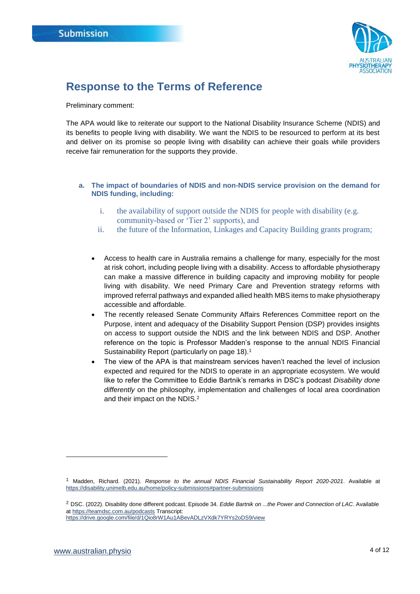

### <span id="page-3-0"></span>**Response to the Terms of Reference**

Preliminary comment:

The APA would like to reiterate our support to the National Disability Insurance Scheme (NDIS) and its benefits to people living with disability. We want the NDIS to be resourced to perform at its best and deliver on its promise so people living with disability can achieve their goals while providers receive fair remuneration for the supports they provide.

### <span id="page-3-1"></span>**a. The impact of boundaries of NDIS and non-NDIS service provision on the demand for NDIS funding, including:**

- i. the availability of support outside the NDIS for people with disability (e.g. community-based or 'Tier 2' supports), and
- ii. the future of the Information, Linkages and Capacity Building grants program;
- Access to health care in Australia remains a challenge for many, especially for the most at risk cohort, including people living with a disability. Access to affordable physiotherapy can make a massive difference in building capacity and improving mobility for people living with disability. We need Primary Care and Prevention strategy reforms with improved referral pathways and expanded allied health MBS items to make physiotherapy accessible and affordable.
- The recently released Senate Community Affairs References Committee report on the Purpose, intent and adequacy of the Disability Support Pension (DSP) provides insights on access to support outside the NDIS and the link between NDIS and DSP. Another reference on the topic is Professor Madden's response to the annual NDIS Financial Sustainability Report (particularly on page 18).<sup>1</sup>
- The view of the APA is that mainstream services haven't reached the level of inclusion expected and required for the NDIS to operate in an appropriate ecosystem. We would like to refer the Committee to Eddie Bartnik's remarks in DSC's podcast *Disability done differently* on the philosophy, implementation and challenges of local area coordination and their impact on the NDIS.<sup>2</sup>

 $\overline{a}$ 

<sup>1</sup> Madden, Richard. (2021). *Response to the annual NDIS Financial Sustainability Report 2020-2021*. Available at <https://disability.unimelb.edu.au/home/policy-submissions#partner-submissions>

<sup>2</sup> DSC. (2022). Disability done different podcast. Episode 34. *Eddie Bartnik on ...the Power and Connection of LAC*. Available a[t https://teamdsc.com.au/podcasts](https://teamdsc.com.au/podcasts) Transcript:

<https://drive.google.com/file/d/1Qio8rW1Au1ABevADLzVXdk7YRYs2oDS9/view>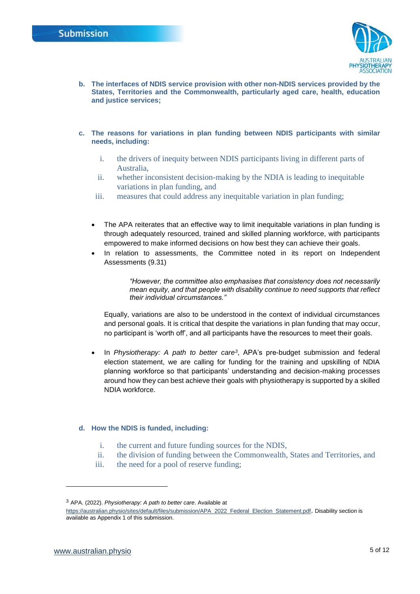

- <span id="page-4-0"></span>**b. The interfaces of NDIS service provision with other non-NDIS services provided by the States, Territories and the Commonwealth, particularly aged care, health, education and justice services;**
- <span id="page-4-1"></span>**c. The reasons for variations in plan funding between NDIS participants with similar needs, including:**
	- i. the drivers of inequity between NDIS participants living in different parts of Australia,
	- ii. whether inconsistent decision-making by the NDIA is leading to inequitable variations in plan funding, and
	- iii. measures that could address any inequitable variation in plan funding;
	- The APA reiterates that an effective way to limit inequitable variations in plan funding is through adequately resourced, trained and skilled planning workforce, with participants empowered to make informed decisions on how best they can achieve their goals.
	- In relation to assessments, the Committee noted in its report on Independent Assessments (9.31)

*"However, the committee also emphasises that consistency does not necessarily mean equity, and that people with disability continue to need supports that reflect their individual circumstances."*

Equally, variations are also to be understood in the context of individual circumstances and personal goals. It is critical that despite the variations in plan funding that may occur, no participant is 'worth off', and all participants have the resources to meet their goals.

• In *Physiotherapy: A path to better care<sup>3</sup>*, APA's pre-budget submission and federal election statement, we are calling for funding for the training and upskilling of NDIA planning workforce so that participants' understanding and decision-making processes around how they can best achieve their goals with physiotherapy is supported by a skilled NDIA workforce.

### <span id="page-4-2"></span>**d. How the NDIS is funded, including:**

- i. the current and future funding sources for the NDIS,
- ii. the division of funding between the Commonwealth, States and Territories, and
- iii. the need for a pool of reserve funding;

 $\overline{a}$ 

<sup>3</sup> APA. (2022). *Physiotherapy: A path to better care*. Available at

[https://australian.physio/sites/default/files/submission/APA\\_2022\\_Federal\\_Election\\_Statement.pdf](https://australian.physio/sites/default/files/submission/APA_2022_Federal_Election_Statement.pdf). Disability section is available as Appendix 1 of this submission.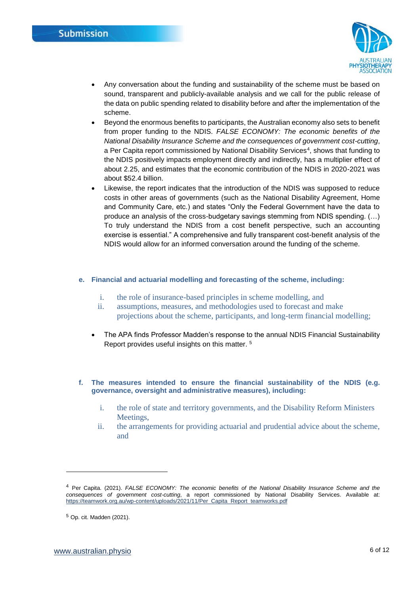

- Any conversation about the funding and sustainability of the scheme must be based on sound, transparent and publicly-available analysis and we call for the public release of the data on public spending related to disability before and after the implementation of the scheme.
- Beyond the enormous benefits to participants, the Australian economy also sets to benefit from proper funding to the NDIS. *FALSE ECONOMY: The economic benefits of the National Disability Insurance Scheme and the consequences of government cost-cutting*, a Per Capita report commissioned by National Disability Services<sup>4</sup> , shows that funding to the NDIS positively impacts employment directly and indirectly, has a multiplier effect of about 2.25, and estimates that the economic contribution of the NDIS in 2020-2021 was about \$52.4 billion.
- Likewise, the report indicates that the introduction of the NDIS was supposed to reduce costs in other areas of governments (such as the National Disability Agreement, Home and Community Care, etc.) and states "Only the Federal Government have the data to produce an analysis of the cross-budgetary savings stemming from NDIS spending. (…) To truly understand the NDIS from a cost benefit perspective, such an accounting exercise is essential." A comprehensive and fully transparent cost-benefit analysis of the NDIS would allow for an informed conversation around the funding of the scheme.

#### <span id="page-5-0"></span>**e. Financial and actuarial modelling and forecasting of the scheme, including:**

- i. the role of insurance-based principles in scheme modelling, and
- ii. assumptions, measures, and methodologies used to forecast and make projections about the scheme, participants, and long-term financial modelling;
- The APA finds Professor Madden's response to the annual NDIS Financial Sustainability Report provides useful insights on this matter. <sup>5</sup>
- <span id="page-5-1"></span>**f. The measures intended to ensure the financial sustainability of the NDIS (e.g. governance, oversight and administrative measures), including:**
	- i. the role of state and territory governments, and the Disability Reform Ministers Meetings,
	- ii. the arrangements for providing actuarial and prudential advice about the scheme, and

l

<sup>4</sup> Per Capita. (2021). *FALSE ECONOMY: The economic benefits of the National Disability Insurance Scheme and the consequences of government cost-cutting*, a report commissioned by National Disability Services. Available at: [https://teamwork.org.au/wp-content/uploads/2021/11/Per\\_Capita\\_Report\\_teamworks.pdf](https://teamwork.org.au/wp-content/uploads/2021/11/Per_Capita_Report_teamworks.pdf)

<sup>5</sup> Op. cit. Madden (2021).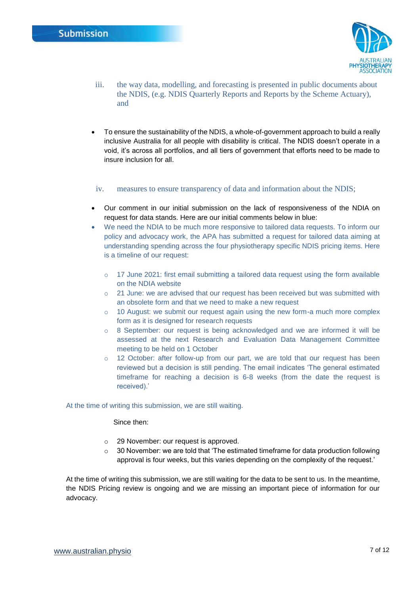

- iii. the way data, modelling, and forecasting is presented in public documents about the NDIS, (e.g. NDIS Quarterly Reports and Reports by the Scheme Actuary), and
- To ensure the sustainability of the NDIS, a whole-of-government approach to build a really inclusive Australia for all people with disability is critical. The NDIS doesn't operate in a void, it's across all portfolios, and all tiers of government that efforts need to be made to insure inclusion for all.

#### iv. measures to ensure transparency of data and information about the NDIS;

- Our comment in our initial submission on the lack of responsiveness of the NDIA on request for data stands. Here are our initial comments below in blue:
- We need the NDIA to be much more responsive to tailored data requests. To inform our policy and advocacy work, the APA has submitted a request for tailored data aiming at understanding spending across the four physiotherapy specific NDIS pricing items. Here is a timeline of our request:
	- $\circ$  17 June 2021: first email submitting a tailored data request using the form available on the NDIA website
	- o 21 June: we are advised that our request has been received but was submitted with an obsolete form and that we need to make a new request
	- $\circ$  10 August: we submit our request again using the new form-a much more complex form as it is designed for research requests
	- $\circ$  8 September: our request is being acknowledged and we are informed it will be assessed at the next Research and Evaluation Data Management Committee meeting to be held on 1 October
	- o 12 October: after follow-up from our part, we are told that our request has been reviewed but a decision is still pending. The email indicates 'The general estimated timeframe for reaching a decision is 6-8 weeks (from the date the request is received).'

#### At the time of writing this submission, we are still waiting.

Since then:

- o 29 November: our request is approved.
- $\circ$  30 November: we are told that 'The estimated timeframe for data production following approval is four weeks, but this varies depending on the complexity of the request.'

At the time of writing this submission, we are still waiting for the data to be sent to us. In the meantime, the NDIS Pricing review is ongoing and we are missing an important piece of information for our advocacy.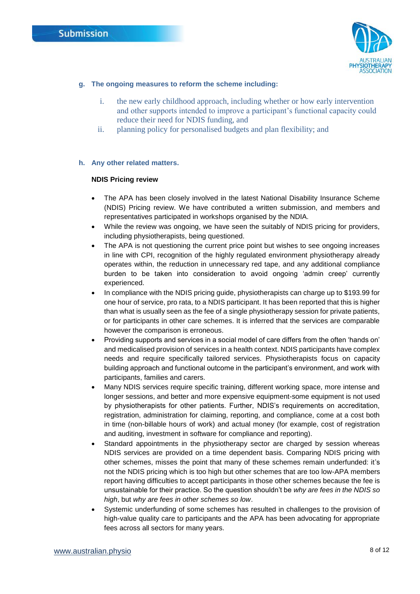

### <span id="page-7-0"></span>**g. The ongoing measures to reform the scheme including:**

- i. the new early childhood approach, including whether or how early intervention and other supports intended to improve a participant's functional capacity could reduce their need for NDIS funding, and
- ii. planning policy for personalised budgets and plan flexibility; and

### <span id="page-7-1"></span>**h. Any other related matters.**

### **NDIS Pricing review**

- The APA has been closely involved in the latest National Disability Insurance Scheme (NDIS) Pricing review. We have contributed a written submission, and members and representatives participated in workshops organised by the NDIA.
- While the review was ongoing, we have seen the suitably of NDIS pricing for providers, including physiotherapists, being questioned.
- The APA is not questioning the current price point but wishes to see ongoing increases in line with CPI, recognition of the highly regulated environment physiotherapy already operates within, the reduction in unnecessary red tape, and any additional compliance burden to be taken into consideration to avoid ongoing 'admin creep' currently experienced.
- In compliance with the NDIS pricing guide, physiotherapists can charge up to \$193.99 for one hour of service, pro rata, to a NDIS participant. It has been reported that this is higher than what is usually seen as the fee of a single physiotherapy session for private patients, or for participants in other care schemes. It is inferred that the services are comparable however the comparison is erroneous.
- Providing supports and services in a social model of care differs from the often 'hands on' and medicalised provision of services in a health context. NDIS participants have complex needs and require specifically tailored services. Physiotherapists focus on capacity building approach and functional outcome in the participant's environment, and work with participants, families and carers.
- Many NDIS services require specific training, different working space, more intense and longer sessions, and better and more expensive equipment-some equipment is not used by physiotherapists for other patients. Further, NDIS's requirements on accreditation, registration, administration for claiming, reporting, and compliance, come at a cost both in time (non-billable hours of work) and actual money (for example, cost of registration and auditing, investment in software for compliance and reporting).
- Standard appointments in the physiotherapy sector are charged by session whereas NDIS services are provided on a time dependent basis. Comparing NDIS pricing with other schemes, misses the point that many of these schemes remain underfunded: it's not the NDIS pricing which is too high but other schemes that are too low-APA members report having difficulties to accept participants in those other schemes because the fee is unsustainable for their practice. So the question shouldn't be *why are fees in the NDIS so high*, but *why are fees in other schemes so low*.
- Systemic underfunding of some schemes has resulted in challenges to the provision of high-value quality care to participants and the APA has been advocating for appropriate fees across all sectors for many years.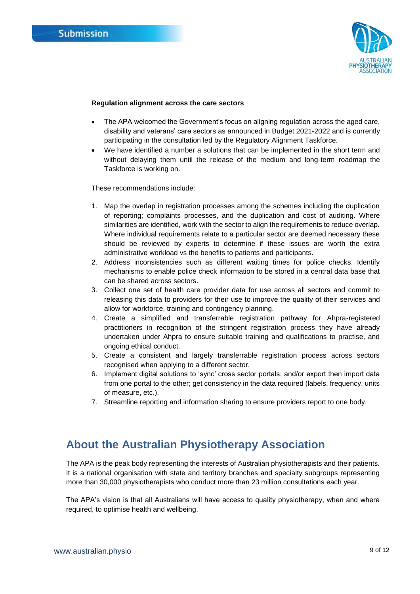

#### **Regulation alignment across the care sectors**

- The APA welcomed the Government's focus on aligning regulation across the aged care, disability and veterans' care sectors as announced in Budget 2021-2022 and is currently participating in the consultation led by the Regulatory Alignment Taskforce.
- We have identified a number a solutions that can be implemented in the short term and without delaying them until the release of the medium and long-term roadmap the Taskforce is working on.

These recommendations include:

- 1. Map the overlap in registration processes among the schemes including the duplication of reporting; complaints processes, and the duplication and cost of auditing. Where similarities are identified, work with the sector to align the requirements to reduce overlap. Where individual requirements relate to a particular sector are deemed necessary these should be reviewed by experts to determine if these issues are worth the extra administrative workload vs the benefits to patients and participants.
- 2. Address inconsistencies such as different waiting times for police checks. Identify mechanisms to enable police check information to be stored in a central data base that can be shared across sectors.
- 3. Collect one set of health care provider data for use across all sectors and commit to releasing this data to providers for their use to improve the quality of their services and allow for workforce, training and contingency planning.
- 4. Create a simplified and transferrable registration pathway for Ahpra-registered practitioners in recognition of the stringent registration process they have already undertaken under Ahpra to ensure suitable training and qualifications to practise, and ongoing ethical conduct.
- 5. Create a consistent and largely transferrable registration process across sectors recognised when applying to a different sector.
- 6. Implement digital solutions to 'sync' cross sector portals; and/or export then import data from one portal to the other; get consistency in the data required (labels, frequency, units of measure, etc.).
- 7. Streamline reporting and information sharing to ensure providers report to one body.

### <span id="page-8-0"></span>**About the Australian Physiotherapy Association**

The APA is the peak body representing the interests of Australian physiotherapists and their patients. It is a national organisation with state and territory branches and specialty subgroups representing more than 30,000 physiotherapists who conduct more than 23 million consultations each year.

The APA's vision is that all Australians will have access to quality physiotherapy, when and where required, to optimise health and wellbeing.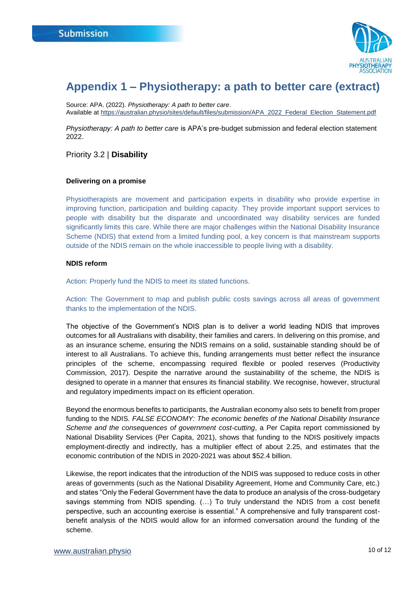

# <span id="page-9-0"></span>**Appendix 1 – Physiotherapy: a path to better care (extract)**

Source: APA. (2022). *Physiotherapy: A path to better care*. Available a[t https://australian.physio/sites/default/files/submission/APA\\_2022\\_Federal\\_Election\\_Statement.pdf](https://australian.physio/sites/default/files/submission/APA_2022_Federal_Election_Statement.pdf)

*Physiotherapy: A path to better care* is APA's pre-budget submission and federal election statement 2022.

Priority 3.2 | **Disability** 

#### **Delivering on a promise**

Physiotherapists are movement and participation experts in disability who provide expertise in improving function, participation and building capacity. They provide important support services to people with disability but the disparate and uncoordinated way disability services are funded significantly limits this care. While there are major challenges within the National Disability Insurance Scheme (NDIS) that extend from a limited funding pool, a key concern is that mainstream supports outside of the NDIS remain on the whole inaccessible to people living with a disability.

#### **NDIS reform**

Action: Properly fund the NDIS to meet its stated functions.

Action: The Government to map and publish public costs savings across all areas of government thanks to the implementation of the NDIS.

The objective of the Government's NDIS plan is to deliver a world leading NDIS that improves outcomes for all Australians with disability, their families and carers. In delivering on this promise, and as an insurance scheme, ensuring the NDIS remains on a solid, sustainable standing should be of interest to all Australians. To achieve this, funding arrangements must better reflect the insurance principles of the scheme, encompassing required flexible or pooled reserves (Productivity Commission, 2017). Despite the narrative around the sustainability of the scheme, the NDIS is designed to operate in a manner that ensures its financial stability. We recognise, however, structural and regulatory impediments impact on its efficient operation.

Beyond the enormous benefits to participants, the Australian economy also sets to benefit from proper funding to the NDIS*. FALSE ECONOMY: The economic benefits of the National Disability Insurance Scheme and the consequences of government cost-cutting*, a Per Capita report commissioned by National Disability Services (Per Capita, 2021), shows that funding to the NDIS positively impacts employment-directly and indirectly, has a multiplier effect of about 2.25, and estimates that the economic contribution of the NDIS in 2020-2021 was about \$52.4 billion.

Likewise, the report indicates that the introduction of the NDIS was supposed to reduce costs in other areas of governments (such as the National Disability Agreement, Home and Community Care, etc.) and states "Only the Federal Government have the data to produce an analysis of the cross-budgetary savings stemming from NDIS spending. (…) To truly understand the NDIS from a cost benefit perspective, such an accounting exercise is essential." A comprehensive and fully transparent costbenefit analysis of the NDIS would allow for an informed conversation around the funding of the scheme.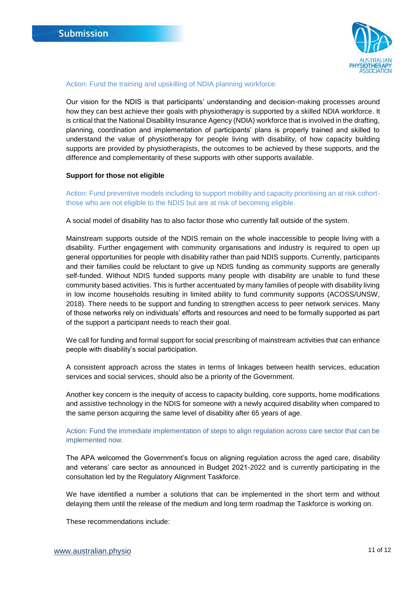

#### Action: Fund the training and upskilling of NDIA planning workforce.

Our vision for the NDIS is that participants' understanding and decision-making processes around how they can best achieve their goals with physiotherapy is supported by a skilled NDIA workforce. It is critical that the National Disability Insurance Agency (NDIA) workforce that is involved in the drafting, planning, coordination and implementation of participants' plans is properly trained and skilled to understand the value of physiotherapy for people living with disability, of how capacity building supports are provided by physiotherapists, the outcomes to be achieved by these supports, and the difference and complementarity of these supports with other supports available.

#### **Support for those not eligible**

Action: Fund preventive models including to support mobility and capacity prioritising an at risk cohortthose who are not eligible to the NDIS but are at risk of becoming eligible.

A social model of disability has to also factor those who currently fall outside of the system.

Mainstream supports outside of the NDIS remain on the whole inaccessible to people living with a disability. Further engagement with community organisations and industry is required to open up general opportunities for people with disability rather than paid NDIS supports. Currently, participants and their families could be reluctant to give up NDIS funding as community supports are generally self-funded. Without NDIS funded supports many people with disability are unable to fund these community based activities. This is further accentuated by many families of people with disability living in low income households resulting in limited ability to fund community supports (ACOSS/UNSW, 2018). There needs to be support and funding to strengthen access to peer network services. Many of those networks rely on individuals' efforts and resources and need to be formally supported as part of the support a participant needs to reach their goal.

We call for funding and formal support for social prescribing of mainstream activities that can enhance people with disability's social participation.

A consistent approach across the states in terms of linkages between health services, education services and social services, should also be a priority of the Government.

Another key concern is the inequity of access to capacity building, core supports, home modifications and assistive technology in the NDIS for someone with a newly acquired disability when compared to the same person acquiring the same level of disability after 65 years of age.

Action: Fund the immediate implementation of steps to align regulation across care sector that can be implemented now.

The APA welcomed the Government's focus on aligning regulation across the aged care, disability and veterans' care sector as announced in Budget 2021-2022 and is currently participating in the consultation led by the Regulatory Alignment Taskforce.

We have identified a number a solutions that can be implemented in the short term and without delaying them until the release of the medium and long term roadmap the Taskforce is working on.

These recommendations include: